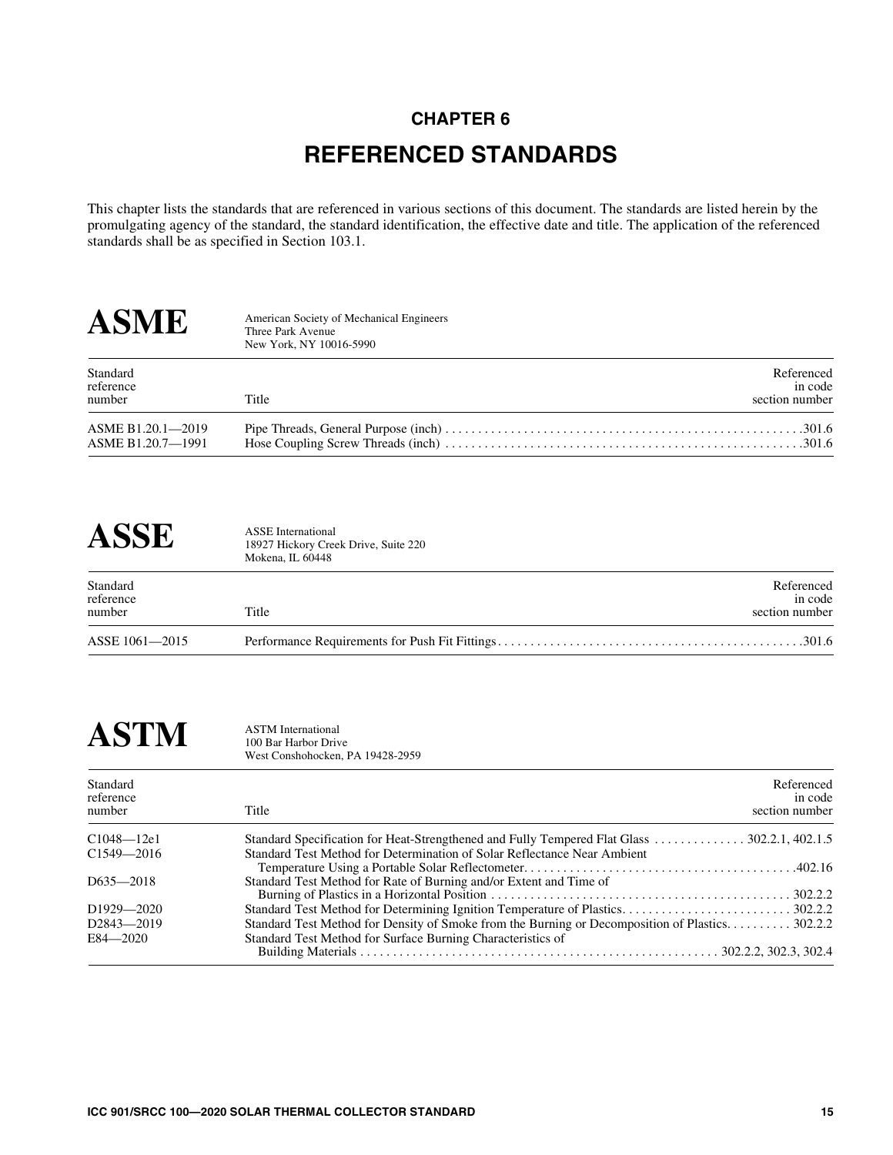## **CHAPTER 6 REFERENCED STANDARDS**

This chapter lists the standards that are referenced in various sections of this document. The standards are listed herein by the promulgating agency of the standard, the standard identification, the effective date and title. The application of the referenced standards shall be as specified in Section 103.1.

| <b>ASME</b>                            | American Society of Mechanical Engineers<br>Three Park Avenue<br>New York, NY 10016-5990 |                                         |
|----------------------------------------|------------------------------------------------------------------------------------------|-----------------------------------------|
| Standard<br>reference<br>number        | Title                                                                                    | Referenced<br>in code<br>section number |
| ASME B1.20.1-2019<br>ASME B1.20.7-1991 |                                                                                          |                                         |

## **ASSE** ASSE International

18927 Hickory Creek Drive, Suite 220 Mokena, IL 60448

| Standard<br>reference<br>number | Title | Referenced<br>in code<br>section number |
|---------------------------------|-------|-----------------------------------------|
| ASSE 1061-2015                  |       |                                         |

## $\textbf{ASTM}$  ASTM International 100 Bar Harbor Driv

100 Bar Harbor Drive West Conshohocken, PA 19428-2959

| Standard<br>reference<br>number | Referenced<br>in code<br>section number<br>Title                                                |  |
|---------------------------------|-------------------------------------------------------------------------------------------------|--|
| $C1048 - 12e1$                  |                                                                                                 |  |
| $C1549 - 2016$                  | Standard Test Method for Determination of Solar Reflectance Near Ambient                        |  |
|                                 |                                                                                                 |  |
| $D635 - 2018$                   | Standard Test Method for Rate of Burning and/or Extent and Time of                              |  |
|                                 |                                                                                                 |  |
| D <sub>1929</sub> 2020          |                                                                                                 |  |
| D <sub>2843</sub> -2019         | Standard Test Method for Density of Smoke from the Burning or Decomposition of Plastics 302.2.2 |  |
| $E84 - 2020$                    | Standard Test Method for Surface Burning Characteristics of                                     |  |
|                                 |                                                                                                 |  |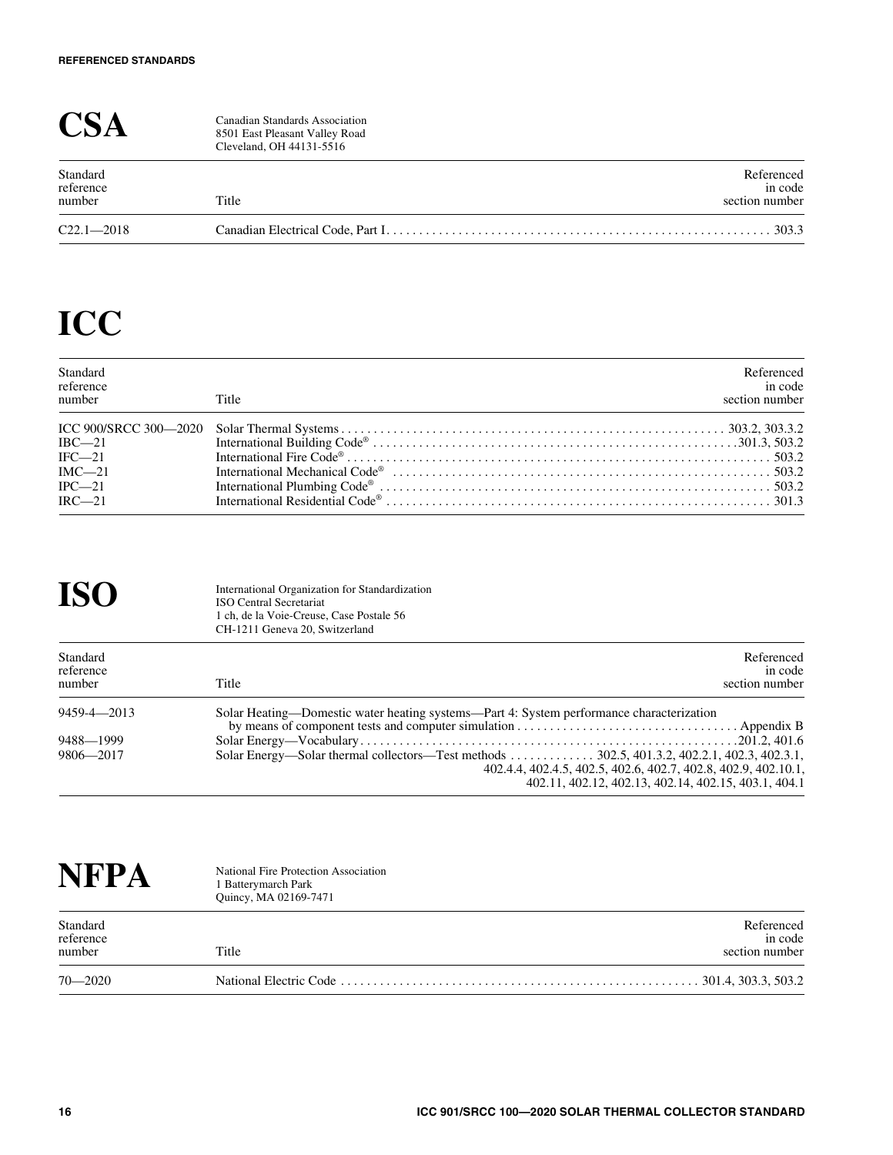|                                 | Canadian Standards Association<br>8501 East Pleasant Valley Road<br>Cleveland, OH 44131-5516 |                                         |
|---------------------------------|----------------------------------------------------------------------------------------------|-----------------------------------------|
| Standard<br>reference<br>number | Title                                                                                        | Referenced<br>in code<br>section number |
| $C22.1 - 2018$                  |                                                                                              | . . 303.3                               |

## **ICC**

| Standard<br>reference<br>number | Title                                       | Referenced<br>in code<br>section number |
|---------------------------------|---------------------------------------------|-----------------------------------------|
|                                 |                                             |                                         |
| $IRC - 21$                      |                                             |                                         |
| $IFC-21$                        |                                             |                                         |
| $IMC-21$                        |                                             |                                         |
| $IPC$ -21                       |                                             |                                         |
| $IRC - 21$                      | International Residential Code <sup>®</sup> |                                         |

| <b>ISO</b>                      | International Organization for Standardization<br><b>ISO Central Secretariat</b><br>1 ch, de la Voie-Creuse, Case Postale 56<br>CH-1211 Geneva 20, Switzerland |  |
|---------------------------------|----------------------------------------------------------------------------------------------------------------------------------------------------------------|--|
| Standard<br>reference<br>number | Referenced<br>in code<br>Title<br>section number                                                                                                               |  |
| $9459 - 4 - 2013$               | Solar Heating—Domestic water heating systems—Part 4: System performance characterization                                                                       |  |
| 9488-1999                       |                                                                                                                                                                |  |
| 9806-2017                       | 402.4.4, 402.4.5, 402.5, 402.6, 402.7, 402.8, 402.9, 402.10.1,<br>402.11, 402.12, 402.13, 402.14, 402.15, 403.1, 404.1                                         |  |

| <b>NFPA</b>                     | National Fire Protection Association<br>1 Batterymarch Park<br>Quincy, MA 02169-7471 |                                         |
|---------------------------------|--------------------------------------------------------------------------------------|-----------------------------------------|
| Standard<br>reference<br>number | Title                                                                                | Referenced<br>in code<br>section number |
| $70 - 2020$                     |                                                                                      | .301.4, 303.3, 503.2                    |